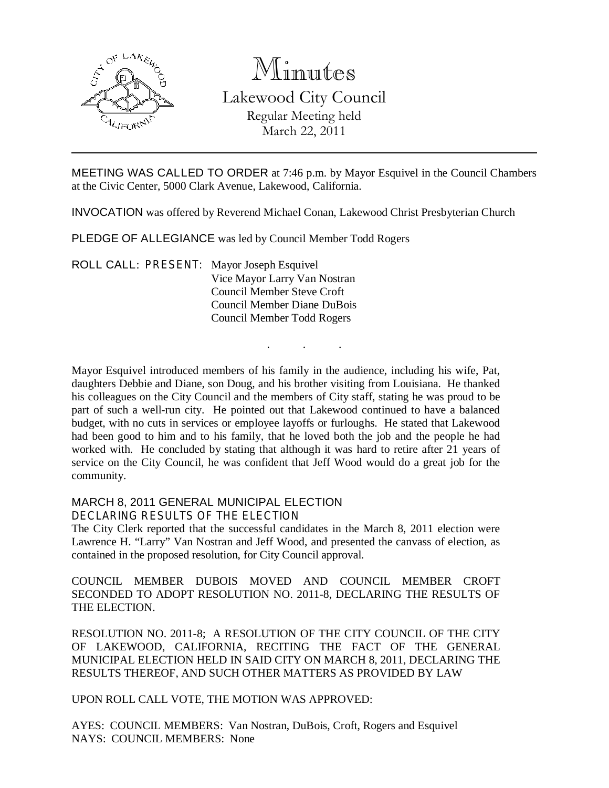

# Minutes Lakewood City Council Regular Meeting held

March 22, 2011

MEETING WAS CALLED TO ORDER at 7:46 p.m. by Mayor Esquivel in the Council Chambers at the Civic Center, 5000 Clark Avenue, Lakewood, California.

INVOCATION was offered by Reverend Michael Conan, Lakewood Christ Presbyterian Church

PLEDGE OF ALLEGIANCE was led by Council Member Todd Rogers

ROLL CALL: PRESENT: Mayor Joseph Esquivel Vice Mayor Larry Van Nostran Council Member Steve Croft Council Member Diane DuBois Council Member Todd Rogers

Mayor Esquivel introduced members of his family in the audience, including his wife, Pat, daughters Debbie and Diane, son Doug, and his brother visiting from Louisiana. He thanked his colleagues on the City Council and the members of City staff, stating he was proud to be part of such a well-run city. He pointed out that Lakewood continued to have a balanced budget, with no cuts in services or employee layoffs or furloughs. He stated that Lakewood had been good to him and to his family, that he loved both the job and the people he had worked with. He concluded by stating that although it was hard to retire after 21 years of service on the City Council, he was confident that Jeff Wood would do a great job for the community.

. . .

#### MARCH 8, 2011 GENERAL MUNICIPAL ELECTION

DECLARING RESULTS OF THE ELECTION

The City Clerk reported that the successful candidates in the March 8, 2011 election were Lawrence H. "Larry" Van Nostran and Jeff Wood, and presented the canvass of election, as contained in the proposed resolution, for City Council approval.

COUNCIL MEMBER DUBOIS MOVED AND COUNCIL MEMBER CROFT SECONDED TO ADOPT RESOLUTION NO. 2011-8, DECLARING THE RESULTS OF THE ELECTION.

RESOLUTION NO. 2011-8; A RESOLUTION OF THE CITY COUNCIL OF THE CITY OF LAKEWOOD, CALIFORNIA, RECITING THE FACT OF THE GENERAL MUNICIPAL ELECTION HELD IN SAID CITY ON MARCH 8, 2011, DECLARING THE RESULTS THEREOF, AND SUCH OTHER MATTERS AS PROVIDED BY LAW

UPON ROLL CALL VOTE, THE MOTION WAS APPROVED:

AYES: COUNCIL MEMBERS: Van Nostran, DuBois, Croft, Rogers and Esquivel NAYS: COUNCIL MEMBERS: None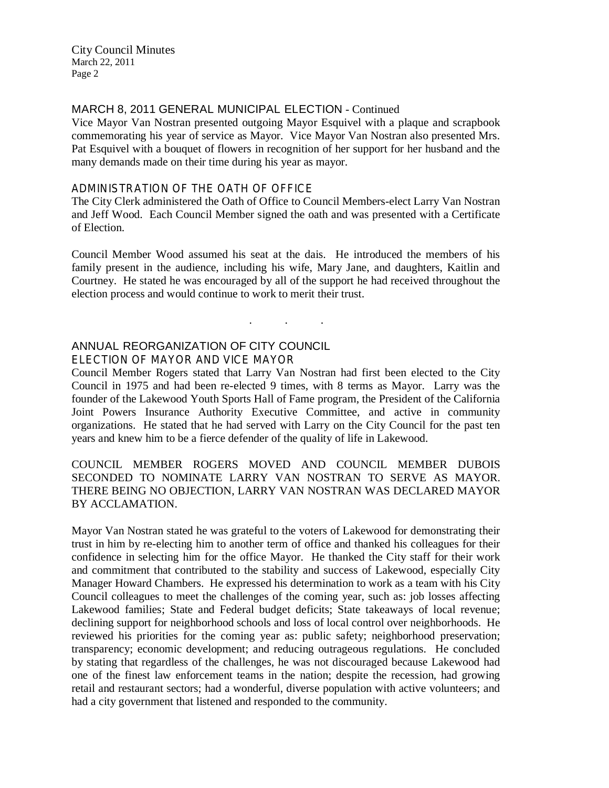#### MARCH 8, 2011 GENERAL MUNICIPAL ELECTION - Continued

Vice Mayor Van Nostran presented outgoing Mayor Esquivel with a plaque and scrapbook commemorating his year of service as Mayor. Vice Mayor Van Nostran also presented Mrs. Pat Esquivel with a bouquet of flowers in recognition of her support for her husband and the many demands made on their time during his year as mayor.

#### ADMINISTRATION OF THE OATH OF OFFICE

The City Clerk administered the Oath of Office to Council Members-elect Larry Van Nostran and Jeff Wood. Each Council Member signed the oath and was presented with a Certificate of Election.

Council Member Wood assumed his seat at the dais. He introduced the members of his family present in the audience, including his wife, Mary Jane, and daughters, Kaitlin and Courtney. He stated he was encouraged by all of the support he had received throughout the election process and would continue to work to merit their trust.

. . .

#### ANNUAL REORGANIZATION OF CITY COUNCIL

ELECTION OF MAYOR AND VICE MAYOR

Council Member Rogers stated that Larry Van Nostran had first been elected to the City Council in 1975 and had been re-elected 9 times, with 8 terms as Mayor. Larry was the founder of the Lakewood Youth Sports Hall of Fame program, the President of the California Joint Powers Insurance Authority Executive Committee, and active in community organizations. He stated that he had served with Larry on the City Council for the past ten years and knew him to be a fierce defender of the quality of life in Lakewood.

#### COUNCIL MEMBER ROGERS MOVED AND COUNCIL MEMBER DUBOIS SECONDED TO NOMINATE LARRY VAN NOSTRAN TO SERVE AS MAYOR. THERE BEING NO OBJECTION, LARRY VAN NOSTRAN WAS DECLARED MAYOR BY ACCLAMATION.

Mayor Van Nostran stated he was grateful to the voters of Lakewood for demonstrating their trust in him by re-electing him to another term of office and thanked his colleagues for their confidence in selecting him for the office Mayor. He thanked the City staff for their work and commitment that contributed to the stability and success of Lakewood, especially City Manager Howard Chambers. He expressed his determination to work as a team with his City Council colleagues to meet the challenges of the coming year, such as: job losses affecting Lakewood families; State and Federal budget deficits; State takeaways of local revenue; declining support for neighborhood schools and loss of local control over neighborhoods. He reviewed his priorities for the coming year as: public safety; neighborhood preservation; transparency; economic development; and reducing outrageous regulations. He concluded by stating that regardless of the challenges, he was not discouraged because Lakewood had one of the finest law enforcement teams in the nation; despite the recession, had growing retail and restaurant sectors; had a wonderful, diverse population with active volunteers; and had a city government that listened and responded to the community.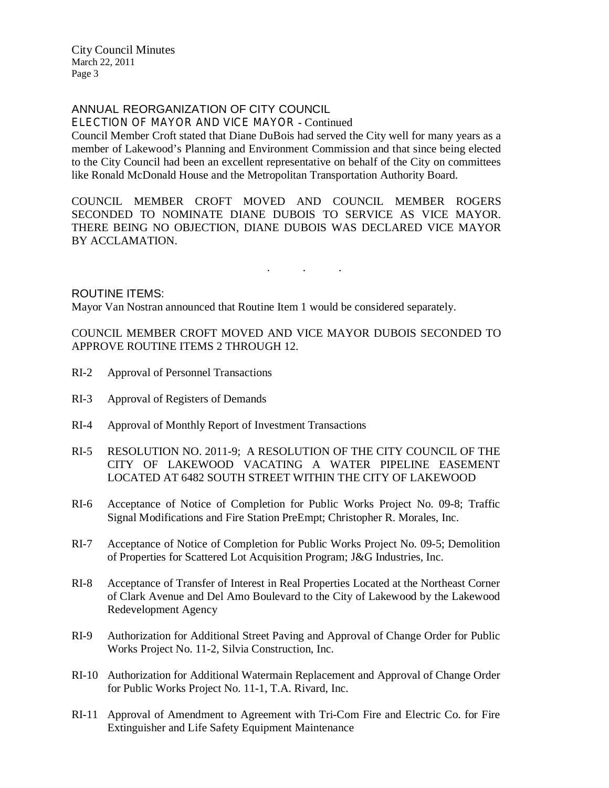### ANNUAL REORGANIZATION OF CITY COUNCIL

ELECTION OF MAYOR AND VICE MAYOR - Continued

Council Member Croft stated that Diane DuBois had served the City well for many years as a member of Lakewood's Planning and Environment Commission and that since being elected to the City Council had been an excellent representative on behalf of the City on committees like Ronald McDonald House and the Metropolitan Transportation Authority Board.

COUNCIL MEMBER CROFT MOVED AND COUNCIL MEMBER ROGERS SECONDED TO NOMINATE DIANE DUBOIS TO SERVICE AS VICE MAYOR. THERE BEING NO OBJECTION, DIANE DUBOIS WAS DECLARED VICE MAYOR BY ACCLAMATION.

. . .

#### ROUTINE ITEMS:

Mayor Van Nostran announced that Routine Item 1 would be considered separately.

COUNCIL MEMBER CROFT MOVED AND VICE MAYOR DUBOIS SECONDED TO APPROVE ROUTINE ITEMS 2 THROUGH 12.

- RI-2 Approval of Personnel Transactions
- RI-3 Approval of Registers of Demands
- RI-4 Approval of Monthly Report of Investment Transactions
- RI-5 RESOLUTION NO. 2011-9; A RESOLUTION OF THE CITY COUNCIL OF THE CITY OF LAKEWOOD VACATING A WATER PIPELINE EASEMENT LOCATED AT 6482 SOUTH STREET WITHIN THE CITY OF LAKEWOOD
- RI-6 Acceptance of Notice of Completion for Public Works Project No. 09-8; Traffic Signal Modifications and Fire Station PreEmpt; Christopher R. Morales, Inc.
- RI-7 Acceptance of Notice of Completion for Public Works Project No. 09-5; Demolition of Properties for Scattered Lot Acquisition Program; J&G Industries, Inc.
- RI-8 Acceptance of Transfer of Interest in Real Properties Located at the Northeast Corner of Clark Avenue and Del Amo Boulevard to the City of Lakewood by the Lakewood Redevelopment Agency
- RI-9 Authorization for Additional Street Paving and Approval of Change Order for Public Works Project No. 11-2, Silvia Construction, Inc.
- RI-10 Authorization for Additional Watermain Replacement and Approval of Change Order for Public Works Project No. 11-1, T.A. Rivard, Inc.
- RI-11 Approval of Amendment to Agreement with Tri-Com Fire and Electric Co. for Fire Extinguisher and Life Safety Equipment Maintenance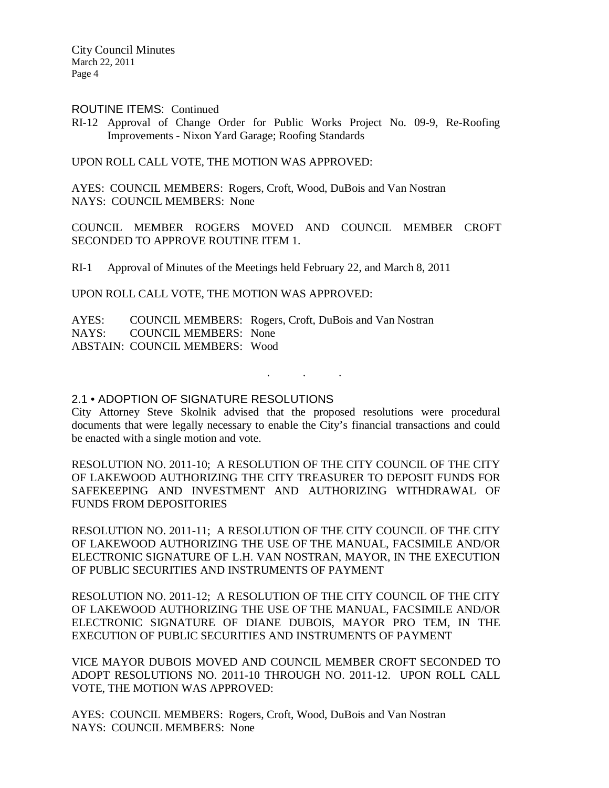ROUTINE ITEMS: Continued

RI-12 Approval of Change Order for Public Works Project No. 09-9, Re-Roofing Improvements - Nixon Yard Garage; Roofing Standards

UPON ROLL CALL VOTE, THE MOTION WAS APPROVED:

AYES: COUNCIL MEMBERS: Rogers, Croft, Wood, DuBois and Van Nostran NAYS: COUNCIL MEMBERS: None

COUNCIL MEMBER ROGERS MOVED AND COUNCIL MEMBER CROFT SECONDED TO APPROVE ROUTINE ITEM 1.

RI-1 Approval of Minutes of the Meetings held February 22, and March 8, 2011

UPON ROLL CALL VOTE, THE MOTION WAS APPROVED:

AYES: COUNCIL MEMBERS: Rogers, Croft, DuBois and Van Nostran NAYS: COUNCIL MEMBERS: None ABSTAIN: COUNCIL MEMBERS: Wood

2.1 • ADOPTION OF SIGNATURE RESOLUTIONS

City Attorney Steve Skolnik advised that the proposed resolutions were procedural documents that were legally necessary to enable the City's financial transactions and could be enacted with a single motion and vote.

. . .

RESOLUTION NO. 2011-10; A RESOLUTION OF THE CITY COUNCIL OF THE CITY OF LAKEWOOD AUTHORIZING THE CITY TREASURER TO DEPOSIT FUNDS FOR SAFEKEEPING AND INVESTMENT AND AUTHORIZING WITHDRAWAL OF FUNDS FROM DEPOSITORIES

RESOLUTION NO. 2011-11; A RESOLUTION OF THE CITY COUNCIL OF THE CITY OF LAKEWOOD AUTHORIZING THE USE OF THE MANUAL, FACSIMILE AND/OR ELECTRONIC SIGNATURE OF L.H. VAN NOSTRAN, MAYOR, IN THE EXECUTION OF PUBLIC SECURITIES AND INSTRUMENTS OF PAYMENT

RESOLUTION NO. 2011-12; A RESOLUTION OF THE CITY COUNCIL OF THE CITY OF LAKEWOOD AUTHORIZING THE USE OF THE MANUAL, FACSIMILE AND/OR ELECTRONIC SIGNATURE OF DIANE DUBOIS, MAYOR PRO TEM, IN THE EXECUTION OF PUBLIC SECURITIES AND INSTRUMENTS OF PAYMENT

VICE MAYOR DUBOIS MOVED AND COUNCIL MEMBER CROFT SECONDED TO ADOPT RESOLUTIONS NO. 2011-10 THROUGH NO. 2011-12. UPON ROLL CALL VOTE, THE MOTION WAS APPROVED:

AYES: COUNCIL MEMBERS: Rogers, Croft, Wood, DuBois and Van Nostran NAYS: COUNCIL MEMBERS: None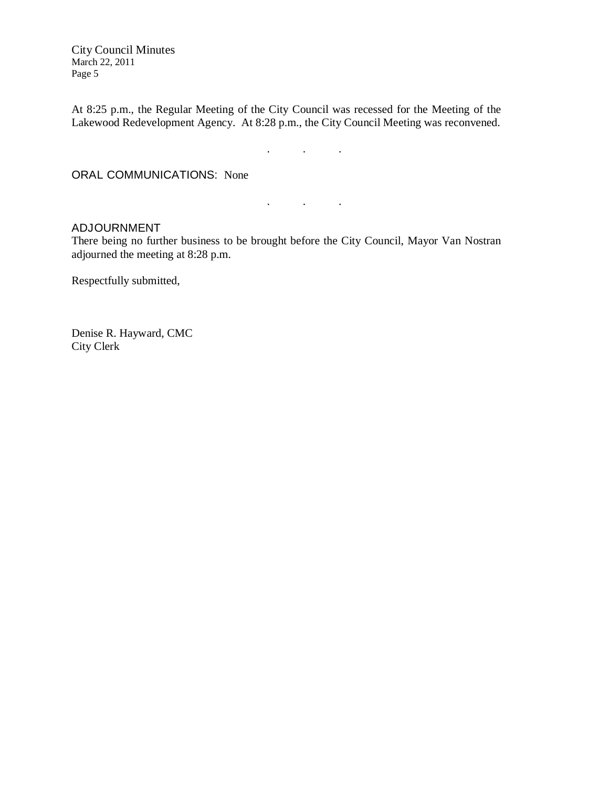At 8:25 p.m., the Regular Meeting of the City Council was recessed for the Meeting of the Lakewood Redevelopment Agency. At 8:28 p.m., the City Council Meeting was reconvened.

 $\mathcal{L}$  . The set of  $\mathcal{L}$  is a set of  $\mathcal{L}$ 

. . .

ORAL COMMUNICATIONS: None

#### ADJOURNMENT

There being no further business to be brought before the City Council, Mayor Van Nostran adjourned the meeting at 8:28 p.m.

Respectfully submitted,

Denise R. Hayward, CMC City Clerk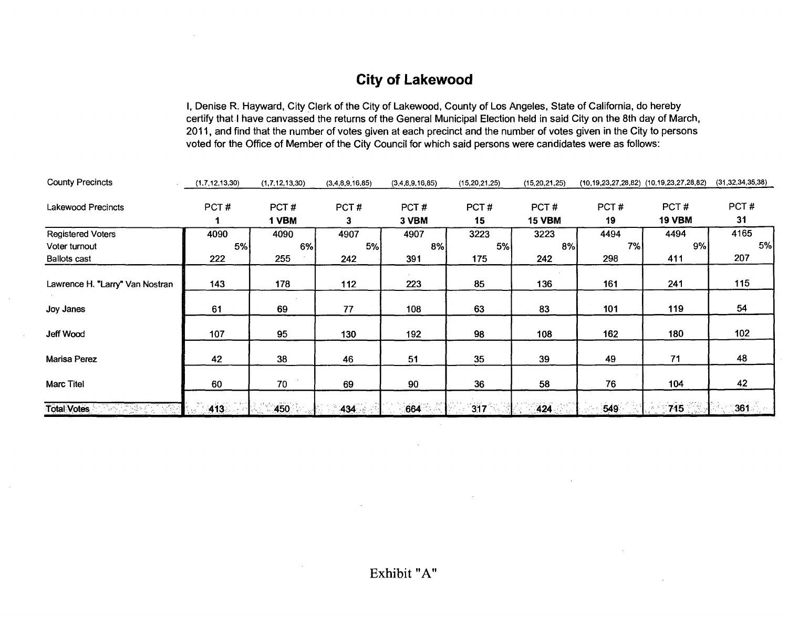## City of Lakewood

I, Denise R. Hayward, City Clerk of the City of Lakewood, County of Los Angeles, State of California, do hereby certify that I have canvassed the returns of the General Municipal Election held in said City on the 8th day of March, 2011, and find that the number of votes given at each precinct and the number of votes given in the City to persons voted for the Office of Member of the City Council for which said persons were candidates were as follows:

| <b>County Precincts</b>         | (1,7,12,13,30) | (1,7,12,13,30) | (3,4,8,9,16,85) | (3,4,8,9,16,85) | (15, 20, 21, 25) | (15, 20, 21, 25) | $(10, 19, 23, 27, 28, 82)$ $(10, 19, 23, 27, 28, 82)$ |               | (31, 32, 34, 35, 38) |
|---------------------------------|----------------|----------------|-----------------|-----------------|------------------|------------------|-------------------------------------------------------|---------------|----------------------|
| <b>Lakewood Precincts</b>       | PCT#           | PCT#           | PCT#            | PCT#            | PCT#             | PCT#             | PCT#                                                  | PCT#          | PCT#                 |
|                                 |                | 1 VBM          | 3               | 3 VBM           | 15               | <b>15 VBM</b>    | 19                                                    | <b>19 VBM</b> | 31                   |
| <b>Registered Voters</b>        | 4090           | 4090           | 4907            | 4907            | 3223             | 3223             | 4494                                                  | 4494          | 4165                 |
| Voter turnout                   | 5%             | 6%             | 5%              | 8%              | 5%               | 8%               | 7%                                                    | 9%            | 5%                   |
| <b>Ballots cast</b>             | 222            | 255            | 242             | 391             | 175              | 242              | 298                                                   | 411           | 207                  |
| Lawrence H. "Larry" Van Nostran | 143            | 178            | 112             | 223             | 85               | 136              | 161                                                   | 241           | 115                  |
| Joy Janes                       | 61             | 69             | 77              | 108             | 63               | 83               | 101                                                   | 119           | 54                   |
| Jeff Wood                       | 107            | 95             | 130             | 192             | 98               | 108              | 162                                                   | 180           | 102                  |
| Marisa Perez                    | 42             | 38             | 46              | 51              | 35               | 39               | 49                                                    | 71            | 48                   |
| <b>Marc Titel</b>               | 60             | 70             | 69              | 90              | 36               | 58               | 76                                                    | 104           | 42                   |
| <b>Total Votes</b>              | 413            | $-450$         | $434 -$         | 664             | 317              | 424              | 549                                                   | 715           | $\frac{361}{2}$      |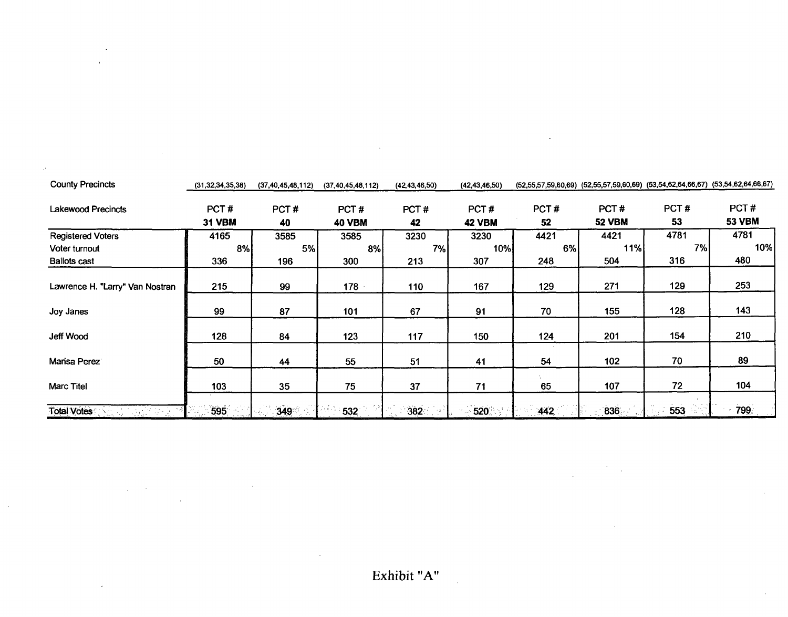| <b>County Precincts</b>         | (31, 32, 34, 35, 38) | (37, 40, 45, 48, 112) | (37, 40, 45, 48, 112) | (42, 43, 46, 50) | (42, 43, 46, 50) |      |               | $(52,55,57,59,60,69)$ $(52,55,57,59,60,69)$ $(53,54,62,64,66,67)$ $(53,54,62,64,66,67)$ |               |
|---------------------------------|----------------------|-----------------------|-----------------------|------------------|------------------|------|---------------|-----------------------------------------------------------------------------------------|---------------|
| <b>Lakewood Precincts</b>       | PCT#                 | PCT#                  | PCT#                  | PCT#             | PCT#             | PCT# | PCT#          | PCT#                                                                                    | PCT#          |
|                                 | <b>31 VBM</b>        | 40                    | <b>40 VBM</b>         | 42               | <b>42 VBM</b>    | 52   | <b>52 VBM</b> | 53                                                                                      | <b>53 VBM</b> |
| <b>Registered Voters</b>        | 4165                 | 3585                  | 3585                  | 3230             | 3230             | 4421 | 4421          | 4781                                                                                    | 4781          |
| Voter turnout                   | 8%                   | 5%                    | 8%                    | 7%               | 10%              | 6%   | 11%           | 7%                                                                                      | 10%           |
| <b>Ballots cast</b>             | 336                  | 196                   | 300                   | 213              | 307              | 248  | 504           | 316                                                                                     | 480           |
| Lawrence H. "Larry" Van Nostran | 215                  | 99                    | 178                   | 110              | 167              | 129  | 271           | 129                                                                                     | 253           |
| Joy Janes                       | 99                   | 87                    | 101                   | 67               | 91               | 70   | 155           | 128                                                                                     | 143           |
| Jeff Wood                       | 128                  | 84                    | 123                   | 117              | 150              | 124  | 201           | 154                                                                                     | 210           |
| Mansa Perez                     | 50                   | 44                    | 55                    | 51               | 41               | 54   | 102           | 70                                                                                      | 89            |
| <b>Marc Titel</b>               | 103                  | 35                    | 75                    | 37               | 71               | 65   | 107           | 72                                                                                      | 104           |
| <b>Total Votes</b>              | 595                  | 349                   | 532                   | 382              | 520              | 442  | 836           | 553                                                                                     | 799           |

÷.